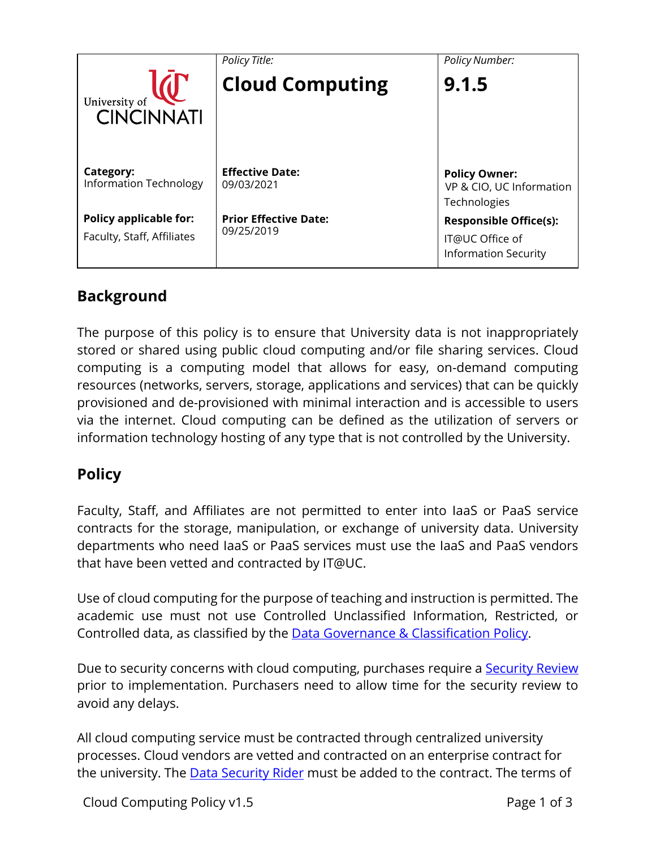|                                                             | Policy Title:                              | <b>Policy Number:</b>                                                           |
|-------------------------------------------------------------|--------------------------------------------|---------------------------------------------------------------------------------|
| University of<br><b>CINCINNATI</b>                          | <b>Cloud Computing</b>                     | 9.1.5                                                                           |
| Category:<br><b>Information Technology</b>                  | <b>Effective Date:</b><br>09/03/2021       | <b>Policy Owner:</b><br>VP & CIO, UC Information<br>Technologies                |
| <b>Policy applicable for:</b><br>Faculty, Staff, Affiliates | <b>Prior Effective Date:</b><br>09/25/2019 | <b>Responsible Office(s):</b><br>IT@UC Office of<br><b>Information Security</b> |

# **Background**

The purpose of this policy is to ensure that University data is not inappropriately stored or shared using public cloud computing and/or file sharing services. Cloud computing is a computing model that allows for easy, on-demand computing resources (networks, servers, storage, applications and services) that can be quickly provisioned and de-provisioned with minimal interaction and is accessible to users via the internet. Cloud computing can be defined as the utilization of servers or information technology hosting of any type that is not controlled by the University.

## **Policy**

Faculty, Staff, and Affiliates are not permitted to enter into IaaS or PaaS service contracts for the storage, manipulation, or exchange of university data. University departments who need IaaS or PaaS services must use the IaaS and PaaS vendors that have been vetted and contracted by IT@UC.

Use of cloud computing for the purpose of teaching and instruction is permitted. The academic use must not use Controlled Unclassified Information, Restricted, or Controlled data, as classified by the [Data Governance & Classification Policy.](http://www.uc.edu/content/dam/uc/infosec/docs/policies/Data_Governance_and_Classification_Policy_9.1.1.pdf)

Due to security concerns with cloud computing, purchases require a **Security Review** prior to implementation. Purchasers need to allow time for the security review to avoid any delays.

All cloud computing service must be contracted through centralized university processes. Cloud vendors are vetted and contracted on an enterprise contract for the university. The **[Data Security Rider](http://www.uc.edu/content/dam/uc/infosec/docs/Guidelines/Data_Security_Rider.pdf)** must be added to the contract. The terms of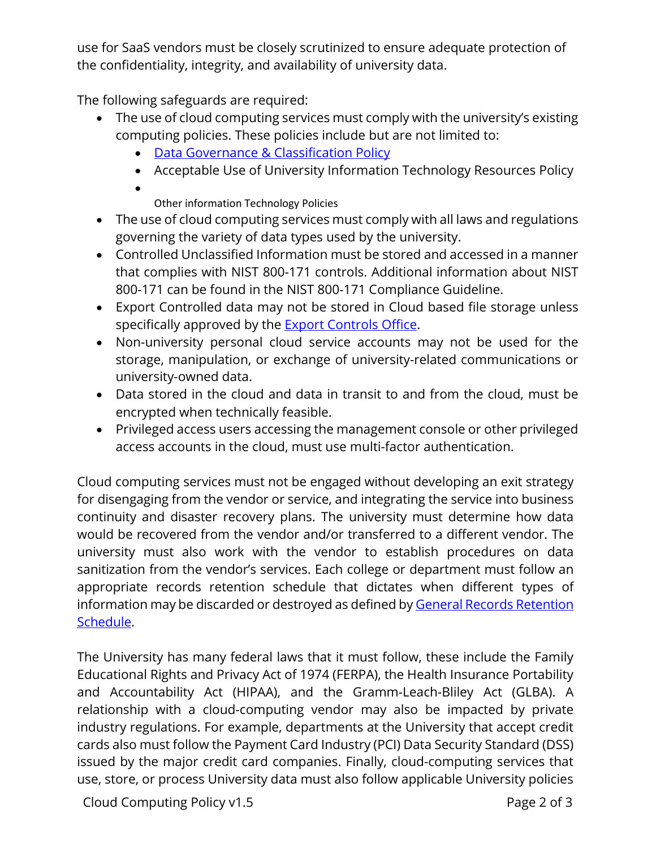use for SaaS vendors must be closely scrutinized to ensure adequate protection of the confidentiality, integrity, and availability of university data.

The following safeguards are required:

- The use of cloud computing services must comply with the university's existing computing policies. These policies include but are not limited to:
	- [Data Governance & Classification Policy](http://www.uc.edu/content/dam/uc/infosec/docs/policies/Data_Governance_and_Classification_Policy_9.1.1.pdf)
	- Acceptable Use of University Information Technology Resources Policy
	- Other information Technology Policies
- The use of cloud computing services must comply with all laws and regulations governing the variety of data types used by the university.
- Controlled Unclassified Information must be stored and accessed in a manner that complies with NIST 800-171 controls. Additional information about NIST 800-171 can be found in the NIST 800-171 Compliance Guideline.
- Export Controlled data may not be stored in Cloud based file storage unless specifically approved by the [Export Controls Office.](http://researchcompliance.uc.edu/exportControls/exportControls.aspx)
- Non-university personal cloud service accounts may not be used for the storage, manipulation, or exchange of university-related communications or university-owned data.
- Data stored in the cloud and data in transit to and from the cloud, must be encrypted when technically feasible.
- Privileged access users accessing the management console or other privileged access accounts in the cloud, must use multi-factor authentication.

Cloud computing services must not be engaged without developing an exit strategy for disengaging from the vendor or service, and integrating the service into business continuity and disaster recovery plans. The university must determine how data would be recovered from the vendor and/or transferred to a different vendor. The university must also work with the vendor to establish procedures on data sanitization from the vendor's services. Each college or department must follow an appropriate records retention schedule that dictates when different types of information may be discarded or destroyed as defined by General Records Retention [Schedule.](https://libraries.uc.edu/libraries/arb/records-management/grs.html)

The University has many federal laws that it must follow, these include the Family Educational Rights and Privacy Act of 1974 (FERPA), the Health Insurance Portability and Accountability Act (HIPAA), and the Gramm-Leach-Bliley Act (GLBA). A relationship with a cloud-computing vendor may also be impacted by private industry regulations. For example, departments at the University that accept credit cards also must follow the Payment Card Industry (PCI) Data Security Standard (DSS) issued by the major credit card companies. Finally, cloud-computing services that use, store, or process University data must also follow applicable University policies